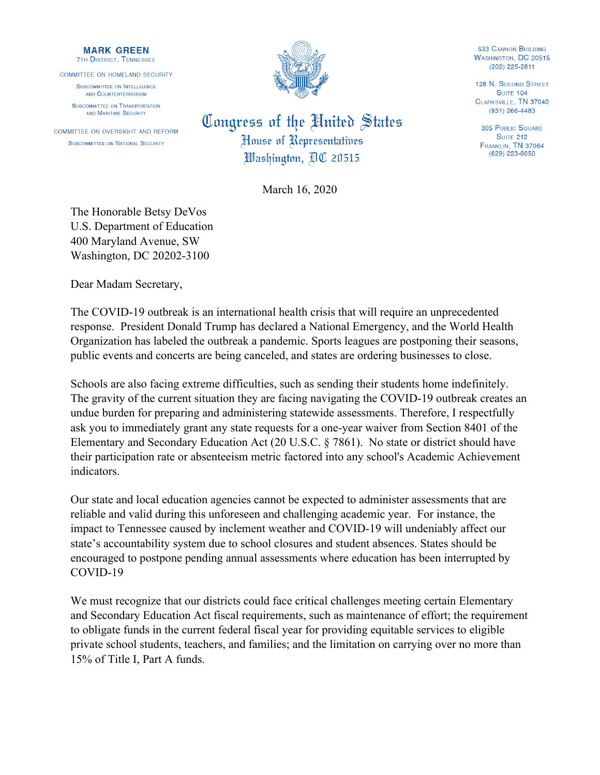## **MARK GREEN 7TH DISTRICT, TENNESSEE**

COMMITTEE ON HOMELAND SECURITY

SUBCOMMITTEE ON INTELLIGENCE AND COUNTERTERRORISM **SUBCOMMITTEE ON TRANSPORTATION** 

AND MARITIME SECURITY COMMITTEE ON OVERSIGHT AND REFORM SUBCOMMITTEE ON NATIONAL SECURITY



Congress of the United States House of Representatives Washington, AC 20515

March 16, 2020

The Honorable Betsy DeVos U.S. Department of Education 400 Maryland Avenue, SW Washington, DC 20202-3100

Dear Madam Secretary,

The COVID-19 outbreak is an international health crisis that will require an unprecedented response. President Donald Trump has declared a National Emergency, and the World Health Organization has labeled the outbreak a pandemic. Sports leagues are postponing their seasons, public events and concerts are being canceled, and states are ordering businesses to close.

Schools are also facing extreme difficulties, such as sending their students home indefinitely. The gravity of the current situation they are facing navigating the COVID-19 outbreak creates an undue burden for preparing and administering statewide assessments. Therefore, I respectfully ask you to immediately grant any state requests for a one-year waiver from Section 8401 of the Elementary and Secondary Education Act (20 U.S.C. § 7861). No state or district should have their participation rate or absenteeism metric factored into any school's Academic Achievement indicators.

Our state and local education agencies cannot be expected to administer assessments that are reliable and valid during this unforeseen and challenging academic year. For instance, the impact to Tennessee caused by inclement weather and COVID-19 will undeniably affect our state's accountability system due to school closures and student absences. States should be encouraged to postpone pending annual assessments where education has been interrupted by COVID-19

We must recognize that our districts could face critical challenges meeting certain Elementary and Secondary Education Act fiscal requirements, such as maintenance of effort; the requirement to obligate funds in the current federal fiscal year for providing equitable services to eligible private school students, teachers, and families; and the limitation on carrying over no more than 15% of Title I, Part A funds.

**533 CANNON BUILDING WASHINGTON, DC 20515** (202) 225-2811

128 N. SECOND STREET **SUITE 104** CLARKSVILLE, TN 37040  $(931)$  266-4483

**305 PUBLIC SQUARE SUITE 212** FRANKLIN, TN 37064 (629) 223-6050